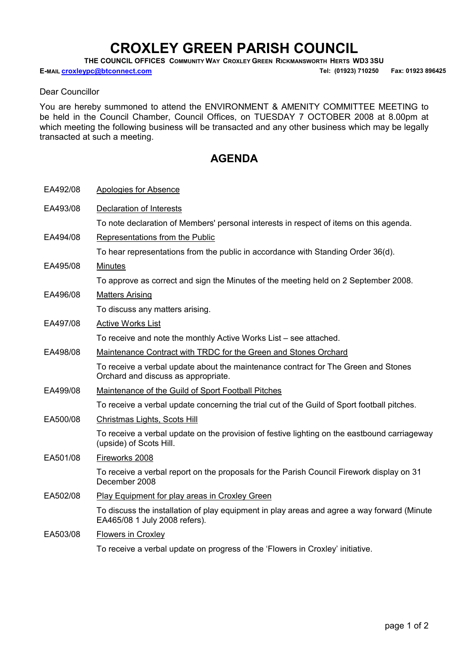## CROXLEY GREEN PARISH COUNCIL

THE COUNCIL OFFICES COMMUNITY WAY CROXLEY GREEN RICKMANSWORTH HERTS WD3 3SU

E-MAIL Croxleypc@btconnect.com **E-MAIL 2006** Tel: (01923) 710250 Fax: 01923 896425

## Dear Councillor

You are hereby summoned to attend the ENVIRONMENT & AMENITY COMMITTEE MEETING to be held in the Council Chamber, Council Offices, on TUESDAY 7 OCTOBER 2008 at 8.00pm at which meeting the following business will be transacted and any other business which may be legally transacted at such a meeting.

## AGENDA

| EA492/08 | Apologies for Absence                                                                                                        |
|----------|------------------------------------------------------------------------------------------------------------------------------|
| EA493/08 | <b>Declaration of Interests</b>                                                                                              |
|          | To note declaration of Members' personal interests in respect of items on this agenda.                                       |
| EA494/08 | Representations from the Public                                                                                              |
|          | To hear representations from the public in accordance with Standing Order 36(d).                                             |
| EA495/08 | <b>Minutes</b>                                                                                                               |
|          | To approve as correct and sign the Minutes of the meeting held on 2 September 2008.                                          |
| EA496/08 | <b>Matters Arising</b>                                                                                                       |
|          | To discuss any matters arising.                                                                                              |
| EA497/08 | <b>Active Works List</b>                                                                                                     |
|          | To receive and note the monthly Active Works List - see attached.                                                            |
| EA498/08 | Maintenance Contract with TRDC for the Green and Stones Orchard                                                              |
|          | To receive a verbal update about the maintenance contract for The Green and Stones<br>Orchard and discuss as appropriate.    |
| EA499/08 | Maintenance of the Guild of Sport Football Pitches                                                                           |
|          | To receive a verbal update concerning the trial cut of the Guild of Sport football pitches.                                  |
| EA500/08 | Christmas Lights, Scots Hill                                                                                                 |
|          | To receive a verbal update on the provision of festive lighting on the eastbound carriageway<br>(upside) of Scots Hill.      |
| EA501/08 | Fireworks 2008                                                                                                               |
|          | To receive a verbal report on the proposals for the Parish Council Firework display on 31<br>December 2008                   |
| EA502/08 | Play Equipment for play areas in Croxley Green                                                                               |
|          | To discuss the installation of play equipment in play areas and agree a way forward (Minute<br>EA465/08 1 July 2008 refers). |
| EA503/08 | <b>Flowers in Croxley</b>                                                                                                    |
|          | To receive a verbal update on progress of the 'Flowers in Croxley' initiative.                                               |